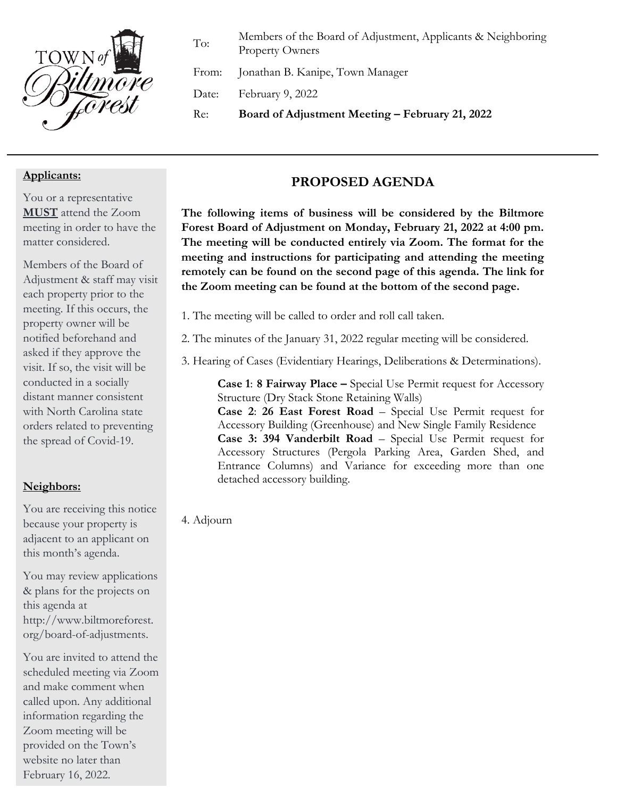

To: Members of the Board of Adjustment, Applicants & Neighboring Property Owners

From: Jonathan B. Kanipe, Town Manager

Date: February 9, 2022

Re: **Board of Adjustment Meeting – February 21, 2022**

#### **Applicants:**

You or a representative **MUST** attend the Zoom meeting in order to have the matter considered.

Members of the Board of Adjustment & staff may visit each property prior to the meeting. If this occurs, the property owner will be notified beforehand and asked if they approve the visit. If so, the visit will be conducted in a socially distant manner consistent with North Carolina state orders related to preventing the spread of Covid-19.

### **Neighbors:**

You are receiving this notice because your property is adjacent to an applicant on this month's agenda.

You may review applications & plans for the projects on this agenda at http://www.biltmoreforest. org/board-of-adjustments.

You are invited to attend the scheduled meeting via Zoom and make comment when called upon. Any additional information regarding the Zoom meeting will be provided on the Town's website no later than February 16, 2022.

### **PROPOSED AGENDA**

**The following items of business will be considered by the Biltmore Forest Board of Adjustment on Monday, February 21, 2022 at 4:00 pm. The meeting will be conducted entirely via Zoom. The format for the meeting and instructions for participating and attending the meeting remotely can be found on the second page of this agenda. The link for the Zoom meeting can be found at the bottom of the second page.**

- 1. The meeting will be called to order and roll call taken.
- 2. The minutes of the January 31, 2022 regular meeting will be considered.
- 3. Hearing of Cases (Evidentiary Hearings, Deliberations & Determinations).

**Case 1**: **8 Fairway Place –** Special Use Permit request for Accessory Structure (Dry Stack Stone Retaining Walls)

**Case 2**: **26 East Forest Road** – Special Use Permit request for Accessory Building (Greenhouse) and New Single Family Residence **Case 3: 394 Vanderbilt Road** – Special Use Permit request for Accessory Structures (Pergola Parking Area, Garden Shed, and Entrance Columns) and Variance for exceeding more than one detached accessory building.

4. Adjourn